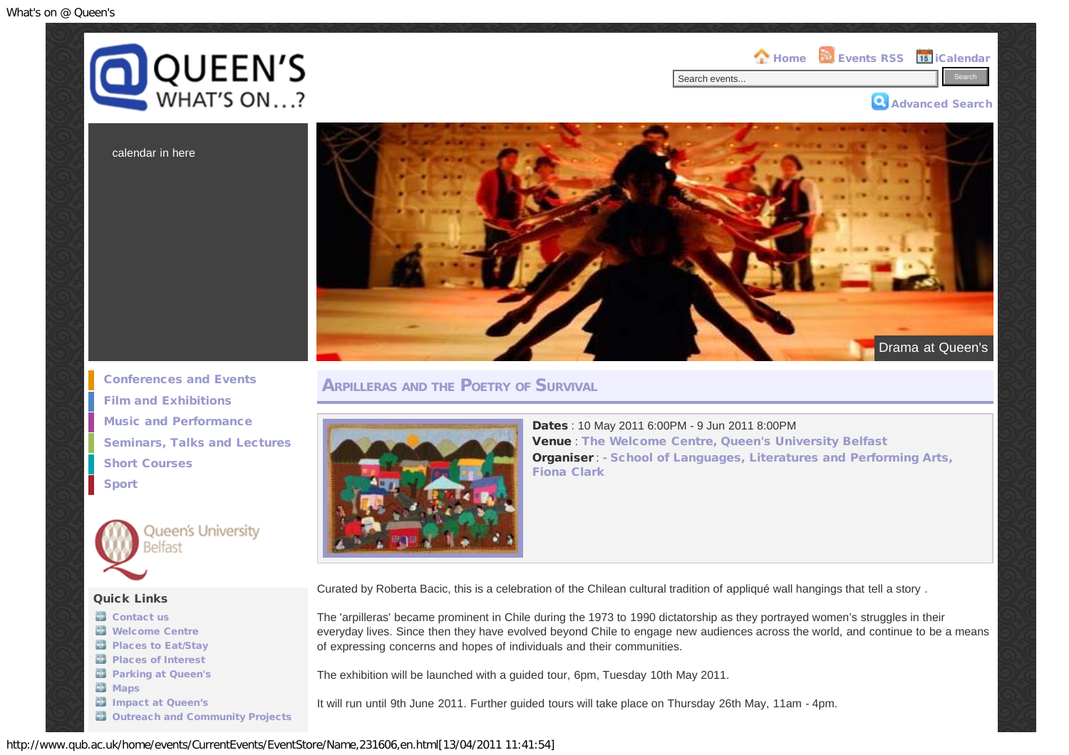



calendar in here



**ARPILLERAS AND THE POETRY OF SURVIVAL** 



Dates : 10 May 2011 6:00PM - 9 Jun 2011 8:00PM Venue : [The Welcome Centre, Queen's University Belfast](http://maps.google.co.uk/?q=The Welcome Centre, Queen) Organiser : [- School of Languages, Literatures and Performing Arts,](mailto:f.clark@qub.ac.uk) [Fiona Clark](mailto:f.clark@qub.ac.uk)

Curated by Roberta Bacic, this is a celebration of the Chilean cultural tradition of appliqué wall hangings that tell a story .

The 'arpilleras' became prominent in Chile during the 1973 to 1990 dictatorship as they portrayed women's struggles in their everyday lives. Since then they have evolved beyond Chile to engage new audiences across the world, and continue to be a means of expressing concerns and hopes of individuals and their communities.

The exhibition will be launched with a guided tour, 6pm, Tuesday 10th May 2011.

It will run until 9th June 2011. Further guided tours will take place on Thursday 26th May, 11am - 4pm.

[Conferences and Events](http://www.qub.ac.uk/home/events/CurrentEvents/ConferencesandEvents/) [Film and Exhibitions](http://www.qub.ac.uk/home/events/CurrentEvents/FilmandExhibitions/) [Music and Performance](http://www.qub.ac.uk/home/events/CurrentEvents/MusicandPerformance/) [Seminars, Talks and Lectures](http://www.qub.ac.uk/home/events/CurrentEvents/SeminarsTalksandLectures/) [Short Courses](http://www.qub.ac.uk/home/events/CurrentEvents/ShortCourses/) [Sport](http://www.qub.ac.uk/home/events/CurrentEvents/Sport/)



Queen's University Belfast

## Quick Links

- **B** [Contact us](http://www.qub.ac.uk/home/events/GeneralInformation/Contactus/) [Welcome Centre](http://www.qub.ac.uk/home/events/GeneralInformation/WelcomeCentre/) **[Places to Eat/Stay](http://www.stayatqueens.com/) [Places of Interest](http://www.qub.ac.uk/home/events/GeneralInformation/PlacesofInterest/) [Parking at Queen's](http://www.qub.ac.uk/home/events/GeneralInformation/ParkingatQueens/) [Maps](http://www.qub.ac.uk/home/events/GeneralInformation/Maps/)** [Impact at Queen's](http://www.qub.ac.uk/home/events/GeneralInformation/ImpactatQueens/)
- **[Outreach and Community Projects](http://www.qub.ac.uk/home/events/GeneralInformation/OutreachandCommunityProjects/)**